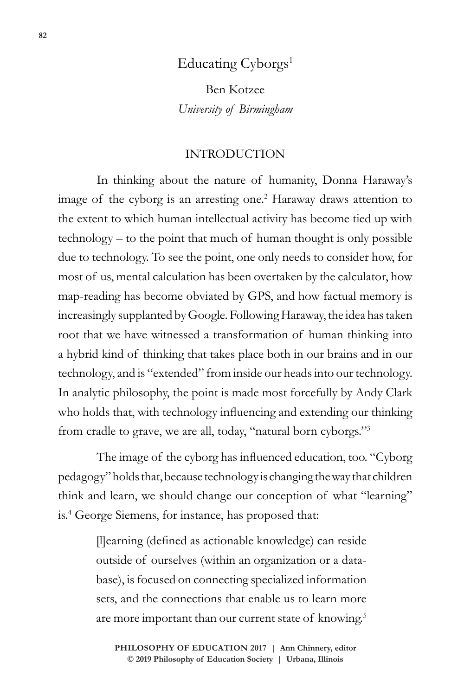# Educating Cyborgs<sup>1</sup>

Ben Kotzee *University of Birmingham*

### INTRODUCTION

In thinking about the nature of humanity, Donna Haraway's image of the cyborg is an arresting one.<sup>2</sup> Haraway draws attention to the extent to which human intellectual activity has become tied up with technology – to the point that much of human thought is only possible due to technology. To see the point, one only needs to consider how, for most of us, mental calculation has been overtaken by the calculator, how map-reading has become obviated by GPS, and how factual memory is increasingly supplanted by Google. Following Haraway, the idea has taken root that we have witnessed a transformation of human thinking into a hybrid kind of thinking that takes place both in our brains and in our technology, and is "extended" from inside our heads into our technology. In analytic philosophy, the point is made most forcefully by Andy Clark who holds that, with technology influencing and extending our thinking from cradle to grave, we are all, today, "natural born cyborgs."3

The image of the cyborg has influenced education, too. "Cyborg pedagogy" holds that, because technology is changing the way that children think and learn, we should change our conception of what "learning" is.4 George Siemens, for instance, has proposed that:

> [l]earning (defined as actionable knowledge) can reside outside of ourselves (within an organization or a database), is focused on connecting specialized information sets, and the connections that enable us to learn more are more important than our current state of knowing.<sup>5</sup>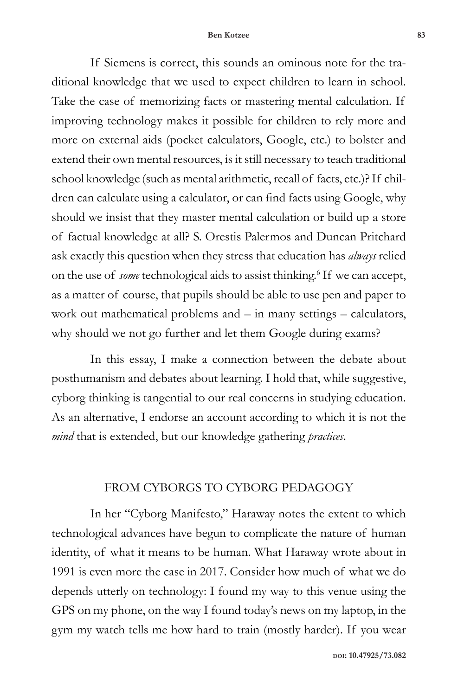#### **Ben Kotzee 83**

If Siemens is correct, this sounds an ominous note for the traditional knowledge that we used to expect children to learn in school. Take the case of memorizing facts or mastering mental calculation. If improving technology makes it possible for children to rely more and more on external aids (pocket calculators, Google, etc.) to bolster and extend their own mental resources, is it still necessary to teach traditional school knowledge (such as mental arithmetic, recall of facts, etc.)? If children can calculate using a calculator, or can find facts using Google, why should we insist that they master mental calculation or build up a store of factual knowledge at all? S. Orestis Palermos and Duncan Pritchard ask exactly this question when they stress that education has *always* relied on the use of *some* technological aids to assist thinking.<sup>6</sup> If we can accept, as a matter of course, that pupils should be able to use pen and paper to work out mathematical problems and – in many settings – calculators, why should we not go further and let them Google during exams?

In this essay, I make a connection between the debate about posthumanism and debates about learning. I hold that, while suggestive, cyborg thinking is tangential to our real concerns in studying education. As an alternative, I endorse an account according to which it is not the *mind* that is extended, but our knowledge gathering *practices*.

#### FROM CYBORGS TO CYBORG PEDAGOGY

In her "Cyborg Manifesto," Haraway notes the extent to which technological advances have begun to complicate the nature of human identity, of what it means to be human. What Haraway wrote about in 1991 is even more the case in 2017. Consider how much of what we do depends utterly on technology: I found my way to this venue using the GPS on my phone, on the way I found today's news on my laptop, in the gym my watch tells me how hard to train (mostly harder). If you wear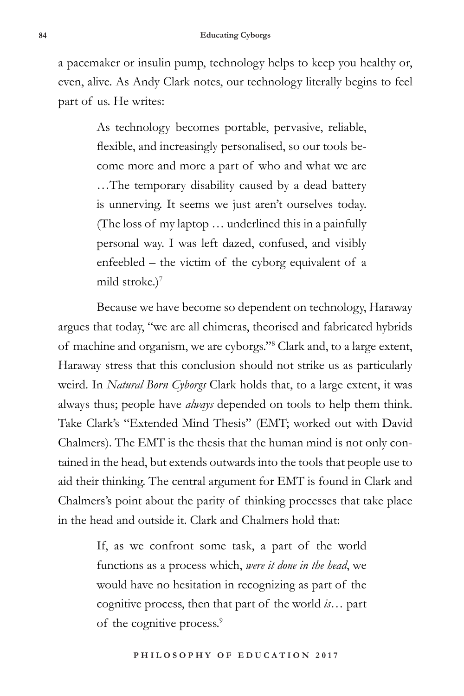a pacemaker or insulin pump, technology helps to keep you healthy or, even, alive. As Andy Clark notes, our technology literally begins to feel part of us. He writes:

> As technology becomes portable, pervasive, reliable, flexible, and increasingly personalised, so our tools become more and more a part of who and what we are …The temporary disability caused by a dead battery is unnerving. It seems we just aren't ourselves today. (The loss of my laptop … underlined this in a painfully personal way. I was left dazed, confused, and visibly enfeebled – the victim of the cyborg equivalent of a mild stroke.) $<sup>7</sup>$ </sup>

Because we have become so dependent on technology, Haraway argues that today, "we are all chimeras, theorised and fabricated hybrids of machine and organism, we are cyborgs."8 Clark and, to a large extent, Haraway stress that this conclusion should not strike us as particularly weird. In *Natural Born Cyborgs* Clark holds that, to a large extent, it was always thus; people have *always* depended on tools to help them think. Take Clark's "Extended Mind Thesis" (EMT; worked out with David Chalmers). The EMT is the thesis that the human mind is not only contained in the head, but extends outwards into the tools that people use to aid their thinking. The central argument for EMT is found in Clark and Chalmers's point about the parity of thinking processes that take place in the head and outside it. Clark and Chalmers hold that:

> If, as we confront some task, a part of the world functions as a process which, *were it done in the head*, we would have no hesitation in recognizing as part of the cognitive process, then that part of the world *is*… part of the cognitive process.<sup>9</sup>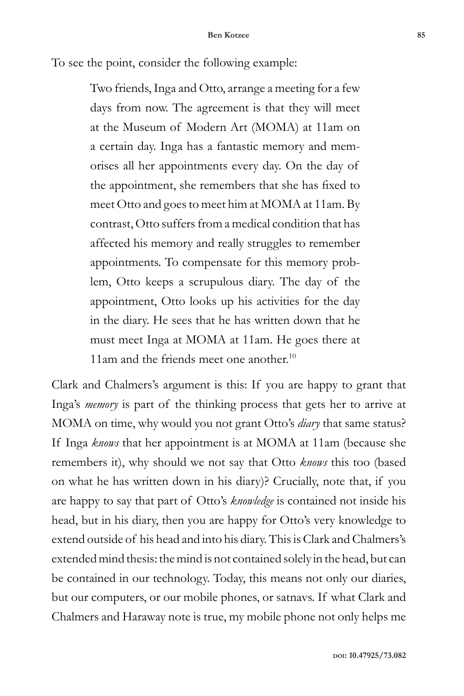To see the point, consider the following example:

Two friends, Inga and Otto, arrange a meeting for a few days from now. The agreement is that they will meet at the Museum of Modern Art (MOMA) at 11am on a certain day. Inga has a fantastic memory and memorises all her appointments every day. On the day of the appointment, she remembers that she has fixed to meet Otto and goes to meet him at MOMA at 11am. By contrast, Otto suffers from a medical condition that has affected his memory and really struggles to remember appointments. To compensate for this memory problem, Otto keeps a scrupulous diary. The day of the appointment, Otto looks up his activities for the day in the diary. He sees that he has written down that he must meet Inga at MOMA at 11am. He goes there at 11am and the friends meet one another.<sup>10</sup>

Clark and Chalmers's argument is this: If you are happy to grant that Inga's *memory* is part of the thinking process that gets her to arrive at MOMA on time, why would you not grant Otto's *diary* that same status? If Inga *knows* that her appointment is at MOMA at 11am (because she remembers it), why should we not say that Otto *knows* this too (based on what he has written down in his diary)? Crucially, note that, if you are happy to say that part of Otto's *knowledge* is contained not inside his head, but in his diary, then you are happy for Otto's very knowledge to extend outside of his head and into his diary. This is Clark and Chalmers's extended mind thesis: the mind is not contained solely in the head, but can be contained in our technology. Today, this means not only our diaries, but our computers, or our mobile phones, or satnavs. If what Clark and Chalmers and Haraway note is true, my mobile phone not only helps me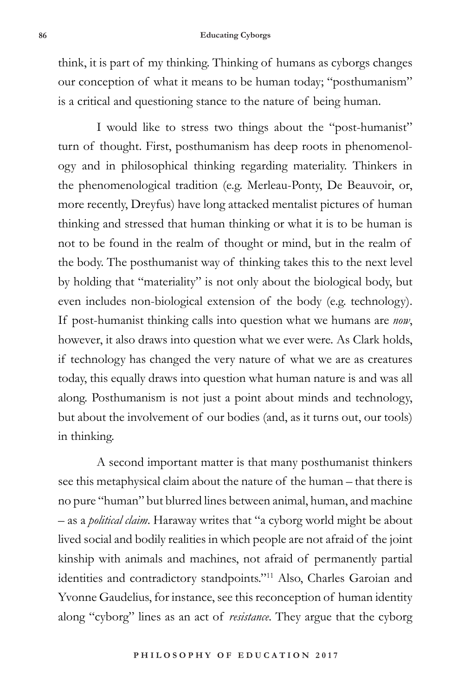think, it is part of my thinking. Thinking of humans as cyborgs changes our conception of what it means to be human today; "posthumanism" is a critical and questioning stance to the nature of being human.

I would like to stress two things about the "post-humanist" turn of thought. First, posthumanism has deep roots in phenomenology and in philosophical thinking regarding materiality. Thinkers in the phenomenological tradition (e.g. Merleau-Ponty, De Beauvoir, or, more recently, Dreyfus) have long attacked mentalist pictures of human thinking and stressed that human thinking or what it is to be human is not to be found in the realm of thought or mind, but in the realm of the body. The posthumanist way of thinking takes this to the next level by holding that "materiality" is not only about the biological body, but even includes non-biological extension of the body (e.g. technology). If post-humanist thinking calls into question what we humans are *now*, however, it also draws into question what we ever were. As Clark holds, if technology has changed the very nature of what we are as creatures today, this equally draws into question what human nature is and was all along. Posthumanism is not just a point about minds and technology, but about the involvement of our bodies (and, as it turns out, our tools) in thinking.

A second important matter is that many posthumanist thinkers see this metaphysical claim about the nature of the human – that there is no pure "human" but blurred lines between animal, human, and machine – as a *political claim*. Haraway writes that "a cyborg world might be about lived social and bodily realities in which people are not afraid of the joint kinship with animals and machines, not afraid of permanently partial identities and contradictory standpoints."11 Also, Charles Garoian and Yvonne Gaudelius, for instance, see this reconception of human identity along "cyborg" lines as an act of *resistance*. They argue that the cyborg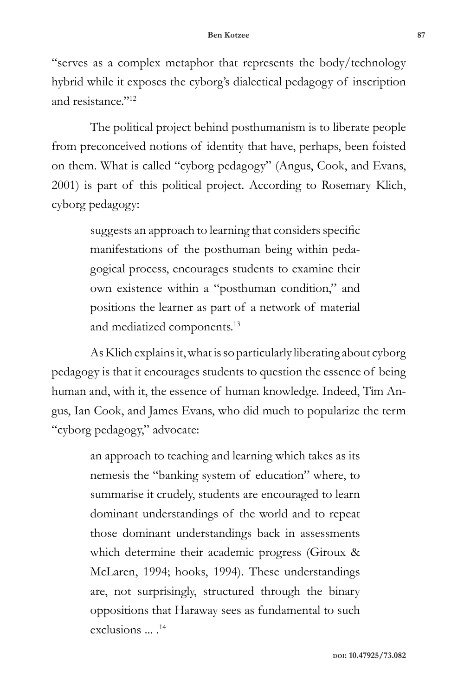"serves as a complex metaphor that represents the body/technology hybrid while it exposes the cyborg's dialectical pedagogy of inscription and resistance."12

The political project behind posthumanism is to liberate people from preconceived notions of identity that have, perhaps, been foisted on them. What is called "cyborg pedagogy" (Angus, Cook, and Evans, 2001) is part of this political project. According to Rosemary Klich, cyborg pedagogy:

> suggests an approach to learning that considers specific manifestations of the posthuman being within pedagogical process, encourages students to examine their own existence within a "posthuman condition," and positions the learner as part of a network of material and mediatized components.13

As Klich explains it, what is so particularly liberating about cyborg pedagogy is that it encourages students to question the essence of being human and, with it, the essence of human knowledge. Indeed, Tim Angus, Ian Cook, and James Evans, who did much to popularize the term "cyborg pedagogy," advocate:

> an approach to teaching and learning which takes as its nemesis the "banking system of education" where, to summarise it crudely, students are encouraged to learn dominant understandings of the world and to repeat those dominant understandings back in assessments which determine their academic progress (Giroux & McLaren, 1994; hooks, 1994). These understandings are, not surprisingly, structured through the binary oppositions that Haraway sees as fundamental to such  $exclusions$   $<sup>14</sup>$ </sup>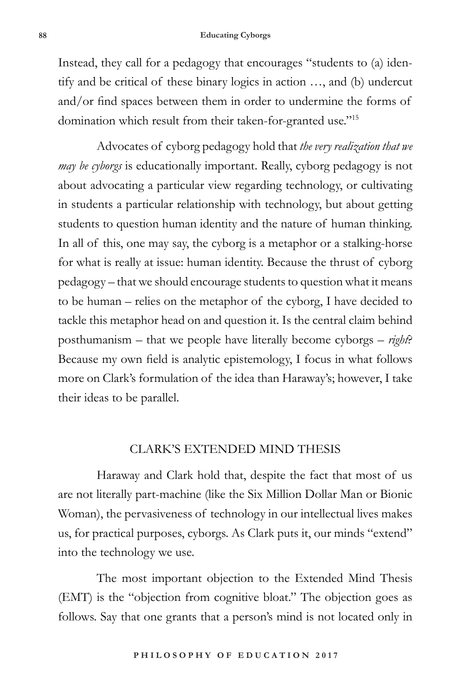Instead, they call for a pedagogy that encourages "students to (a) identify and be critical of these binary logics in action …, and (b) undercut and/or find spaces between them in order to undermine the forms of domination which result from their taken-for-granted use."15

Advocates of cyborg pedagogy hold that *the very realization that we may be cyborgs* is educationally important. Really, cyborg pedagogy is not about advocating a particular view regarding technology, or cultivating in students a particular relationship with technology, but about getting students to question human identity and the nature of human thinking. In all of this, one may say, the cyborg is a metaphor or a stalking-horse for what is really at issue: human identity. Because the thrust of cyborg pedagogy – that we should encourage students to question what it means to be human – relies on the metaphor of the cyborg, I have decided to tackle this metaphor head on and question it. Is the central claim behind posthumanism – that we people have literally become cyborgs – *right*? Because my own field is analytic epistemology, I focus in what follows more on Clark's formulation of the idea than Haraway's; however, I take their ideas to be parallel.

### CLARK'S EXTENDED MIND THESIS

Haraway and Clark hold that, despite the fact that most of us are not literally part-machine (like the Six Million Dollar Man or Bionic Woman), the pervasiveness of technology in our intellectual lives makes us, for practical purposes, cyborgs. As Clark puts it, our minds "extend" into the technology we use.

The most important objection to the Extended Mind Thesis (EMT) is the "objection from cognitive bloat." The objection goes as follows. Say that one grants that a person's mind is not located only in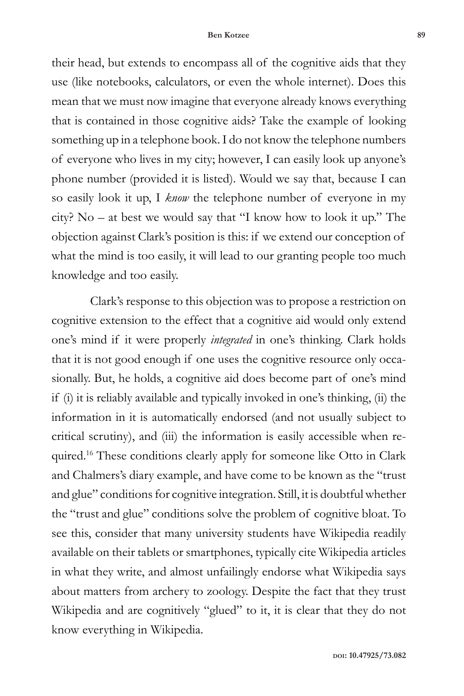their head, but extends to encompass all of the cognitive aids that they use (like notebooks, calculators, or even the whole internet). Does this mean that we must now imagine that everyone already knows everything that is contained in those cognitive aids? Take the example of looking something up in a telephone book. I do not know the telephone numbers of everyone who lives in my city; however, I can easily look up anyone's phone number (provided it is listed). Would we say that, because I can so easily look it up, I *know* the telephone number of everyone in my city? No – at best we would say that "I know how to look it up." The objection against Clark's position is this: if we extend our conception of what the mind is too easily, it will lead to our granting people too much knowledge and too easily.

Clark's response to this objection was to propose a restriction on cognitive extension to the effect that a cognitive aid would only extend one's mind if it were properly *integrated* in one's thinking. Clark holds that it is not good enough if one uses the cognitive resource only occasionally. But, he holds, a cognitive aid does become part of one's mind if (i) it is reliably available and typically invoked in one's thinking, (ii) the information in it is automatically endorsed (and not usually subject to critical scrutiny), and (iii) the information is easily accessible when required.<sup>16</sup> These conditions clearly apply for someone like Otto in Clark and Chalmers's diary example, and have come to be known as the "trust and glue" conditions for cognitive integration. Still, it is doubtful whether the "trust and glue" conditions solve the problem of cognitive bloat. To see this, consider that many university students have Wikipedia readily available on their tablets or smartphones, typically cite Wikipedia articles in what they write, and almost unfailingly endorse what Wikipedia says about matters from archery to zoology. Despite the fact that they trust Wikipedia and are cognitively "glued" to it, it is clear that they do not know everything in Wikipedia.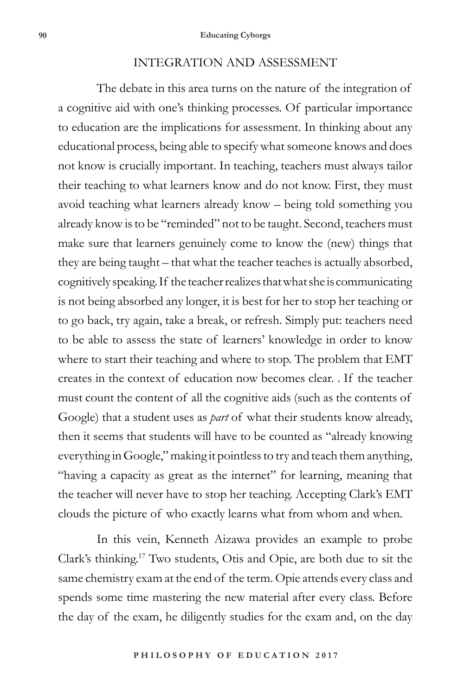#### INTEGRATION AND ASSESSMENT

The debate in this area turns on the nature of the integration of a cognitive aid with one's thinking processes. Of particular importance to education are the implications for assessment. In thinking about any educational process, being able to specify what someone knows and does not know is crucially important. In teaching, teachers must always tailor their teaching to what learners know and do not know. First, they must avoid teaching what learners already know – being told something you already know is to be "reminded" not to be taught. Second, teachers must make sure that learners genuinely come to know the (new) things that they are being taught – that what the teacher teaches is actually absorbed, cognitively speaking. If the teacher realizes that what she is communicating is not being absorbed any longer, it is best for her to stop her teaching or to go back, try again, take a break, or refresh. Simply put: teachers need to be able to assess the state of learners' knowledge in order to know where to start their teaching and where to stop. The problem that EMT creates in the context of education now becomes clear. . If the teacher must count the content of all the cognitive aids (such as the contents of Google) that a student uses as *part* of what their students know already, then it seems that students will have to be counted as "already knowing everything in Google," making it pointless to try and teach them anything, "having a capacity as great as the internet" for learning, meaning that the teacher will never have to stop her teaching. Accepting Clark's EMT clouds the picture of who exactly learns what from whom and when.

In this vein, Kenneth Aizawa provides an example to probe Clark's thinking.17 Two students, Otis and Opie, are both due to sit the same chemistry exam at the end of the term. Opie attends every class and spends some time mastering the new material after every class. Before the day of the exam, he diligently studies for the exam and, on the day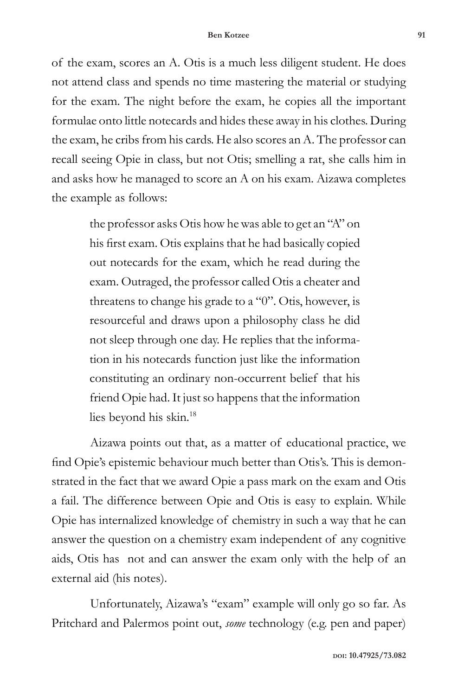of the exam, scores an A. Otis is a much less diligent student. He does not attend class and spends no time mastering the material or studying for the exam. The night before the exam, he copies all the important formulae onto little notecards and hides these away in his clothes. During the exam, he cribs from his cards. He also scores an A. The professor can recall seeing Opie in class, but not Otis; smelling a rat, she calls him in and asks how he managed to score an A on his exam. Aizawa completes the example as follows:

> the professor asks Otis how he was able to get an "A" on his first exam. Otis explains that he had basically copied out notecards for the exam, which he read during the exam. Outraged, the professor called Otis a cheater and threatens to change his grade to a "0". Otis, however, is resourceful and draws upon a philosophy class he did not sleep through one day. He replies that the information in his notecards function just like the information constituting an ordinary non-occurrent belief that his friend Opie had. It just so happens that the information lies beyond his skin.18

Aizawa points out that, as a matter of educational practice, we find Opie's epistemic behaviour much better than Otis's. This is demonstrated in the fact that we award Opie a pass mark on the exam and Otis a fail. The difference between Opie and Otis is easy to explain. While Opie has internalized knowledge of chemistry in such a way that he can answer the question on a chemistry exam independent of any cognitive aids, Otis has not and can answer the exam only with the help of an external aid (his notes).

Unfortunately, Aizawa's "exam" example will only go so far. As Pritchard and Palermos point out, *some* technology (e.g. pen and paper)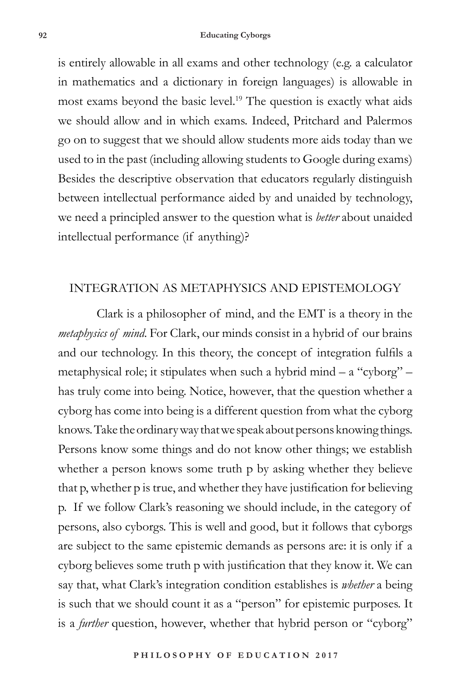is entirely allowable in all exams and other technology (e.g. a calculator in mathematics and a dictionary in foreign languages) is allowable in most exams beyond the basic level.19 The question is exactly what aids we should allow and in which exams. Indeed, Pritchard and Palermos go on to suggest that we should allow students more aids today than we used to in the past (including allowing students to Google during exams) Besides the descriptive observation that educators regularly distinguish between intellectual performance aided by and unaided by technology, we need a principled answer to the question what is *better* about unaided intellectual performance (if anything)?

## INTEGRATION AS METAPHYSICS AND EPISTEMOLOGY

Clark is a philosopher of mind, and the EMT is a theory in the *metaphysics of mind*. For Clark, our minds consist in a hybrid of our brains and our technology. In this theory, the concept of integration fulfils a metaphysical role; it stipulates when such a hybrid mind  $-$  a "cyborg"  $$ has truly come into being. Notice, however, that the question whether a cyborg has come into being is a different question from what the cyborg knows. Take the ordinary way that we speak about persons knowing things. Persons know some things and do not know other things; we establish whether a person knows some truth p by asking whether they believe that p, whether p is true, and whether they have justification for believing p. If we follow Clark's reasoning we should include, in the category of persons, also cyborgs. This is well and good, but it follows that cyborgs are subject to the same epistemic demands as persons are: it is only if a cyborg believes some truth p with justification that they know it. We can say that, what Clark's integration condition establishes is *whether* a being is such that we should count it as a "person" for epistemic purposes. It is a *further* question, however, whether that hybrid person or "cyborg"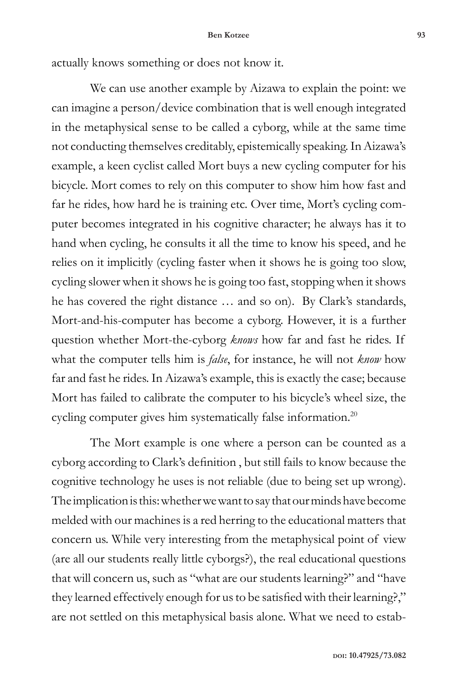actually knows something or does not know it.

We can use another example by Aizawa to explain the point: we can imagine a person/device combination that is well enough integrated in the metaphysical sense to be called a cyborg, while at the same time not conducting themselves creditably, epistemically speaking. In Aizawa's example, a keen cyclist called Mort buys a new cycling computer for his bicycle. Mort comes to rely on this computer to show him how fast and far he rides, how hard he is training etc. Over time, Mort's cycling computer becomes integrated in his cognitive character; he always has it to hand when cycling, he consults it all the time to know his speed, and he relies on it implicitly (cycling faster when it shows he is going too slow, cycling slower when it shows he is going too fast, stopping when it shows he has covered the right distance … and so on). By Clark's standards, Mort-and-his-computer has become a cyborg. However, it is a further question whether Mort-the-cyborg *knows* how far and fast he rides. If what the computer tells him is *false*, for instance, he will not *know* how far and fast he rides. In Aizawa's example, this is exactly the case; because Mort has failed to calibrate the computer to his bicycle's wheel size, the cycling computer gives him systematically false information.<sup>20</sup>

The Mort example is one where a person can be counted as a cyborg according to Clark's definition , but still fails to know because the cognitive technology he uses is not reliable (due to being set up wrong). The implication is this: whether we want to say that our minds have become melded with our machines is a red herring to the educational matters that concern us. While very interesting from the metaphysical point of view (are all our students really little cyborgs?), the real educational questions that will concern us, such as "what are our students learning?" and "have they learned effectively enough for us to be satisfied with their learning?," are not settled on this metaphysical basis alone. What we need to estab-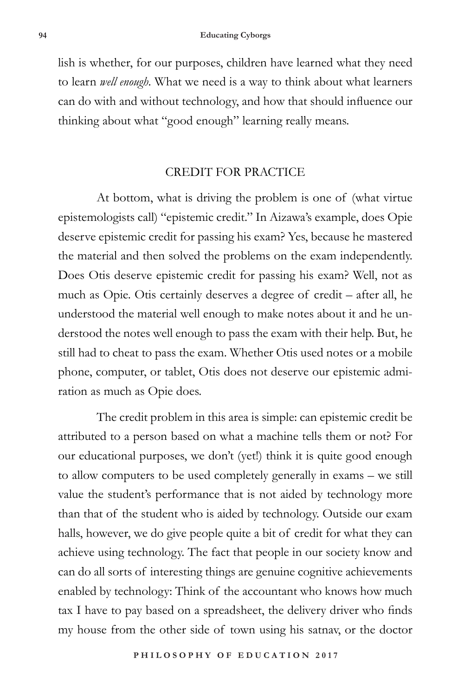lish is whether, for our purposes, children have learned what they need to learn *well enough*. What we need is a way to think about what learners can do with and without technology, and how that should influence our thinking about what "good enough" learning really means.

## CREDIT FOR PRACTICE

At bottom, what is driving the problem is one of (what virtue epistemologists call) "epistemic credit." In Aizawa's example, does Opie deserve epistemic credit for passing his exam? Yes, because he mastered the material and then solved the problems on the exam independently. Does Otis deserve epistemic credit for passing his exam? Well, not as much as Opie. Otis certainly deserves a degree of credit – after all, he understood the material well enough to make notes about it and he understood the notes well enough to pass the exam with their help. But, he still had to cheat to pass the exam. Whether Otis used notes or a mobile phone, computer, or tablet, Otis does not deserve our epistemic admiration as much as Opie does.

The credit problem in this area is simple: can epistemic credit be attributed to a person based on what a machine tells them or not? For our educational purposes, we don't (yet!) think it is quite good enough to allow computers to be used completely generally in exams – we still value the student's performance that is not aided by technology more than that of the student who is aided by technology. Outside our exam halls, however, we do give people quite a bit of credit for what they can achieve using technology. The fact that people in our society know and can do all sorts of interesting things are genuine cognitive achievements enabled by technology: Think of the accountant who knows how much tax I have to pay based on a spreadsheet, the delivery driver who finds my house from the other side of town using his satnav, or the doctor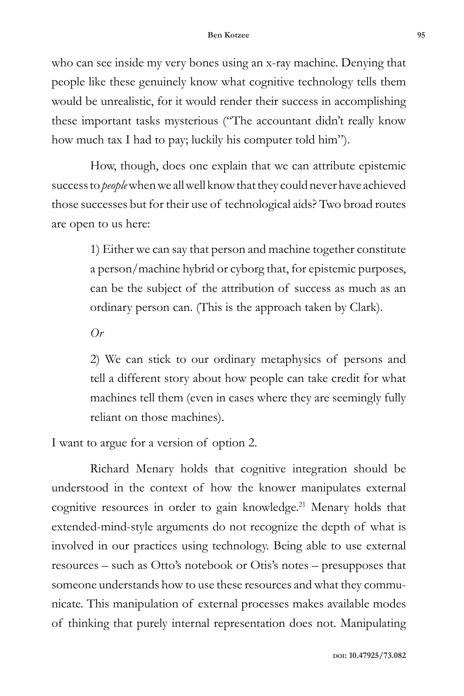who can see inside my very bones using an x-ray machine. Denying that people like these genuinely know what cognitive technology tells them would be unrealistic, for it would render their success in accomplishing these important tasks mysterious ("The accountant didn't really know how much tax I had to pay; luckily his computer told him").

How, though, does one explain that we can attribute epistemic success to *people* when we all well know that they could never have achieved those successes but for their use of technological aids? Two broad routes are open to us here:

> 1) Either we can say that person and machine together constitute a person/machine hybrid or cyborg that, for epistemic purposes, can be the subject of the attribution of success as much as an ordinary person can. (This is the approach taken by Clark).

*Or*

2) We can stick to our ordinary metaphysics of persons and tell a different story about how people can take credit for what machines tell them (even in cases where they are seemingly fully reliant on those machines).

I want to argue for a version of option 2.

Richard Menary holds that cognitive integration should be understood in the context of how the knower manipulates external cognitive resources in order to gain knowledge.<sup>21</sup> Menary holds that extended-mind-style arguments do not recognize the depth of what is involved in our practices using technology. Being able to use external resources – such as Otto's notebook or Otis's notes – presupposes that someone understands how to use these resources and what they communicate. This manipulation of external processes makes available modes of thinking that purely internal representation does not. Manipulating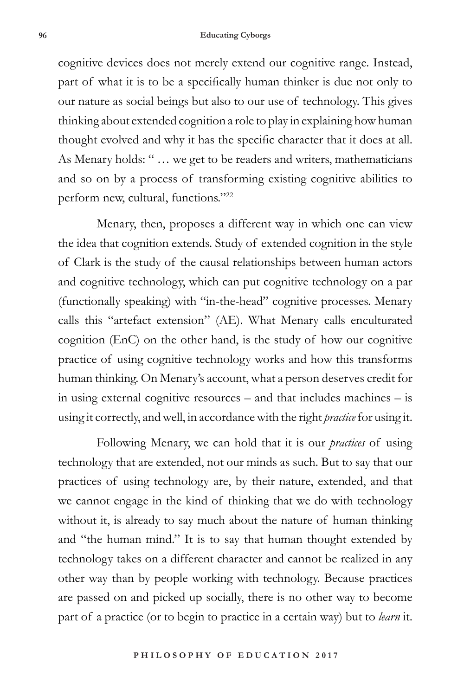#### **96 Educating Cyborgs**

cognitive devices does not merely extend our cognitive range. Instead, part of what it is to be a specifically human thinker is due not only to our nature as social beings but also to our use of technology. This gives thinking about extended cognition a role to play in explaining how human thought evolved and why it has the specific character that it does at all. As Menary holds: " … we get to be readers and writers, mathematicians and so on by a process of transforming existing cognitive abilities to perform new, cultural, functions."22

Menary, then, proposes a different way in which one can view the idea that cognition extends. Study of extended cognition in the style of Clark is the study of the causal relationships between human actors and cognitive technology, which can put cognitive technology on a par (functionally speaking) with "in-the-head" cognitive processes. Menary calls this "artefact extension" (AE). What Menary calls enculturated cognition (EnC) on the other hand, is the study of how our cognitive practice of using cognitive technology works and how this transforms human thinking. On Menary's account, what a person deserves credit for in using external cognitive resources – and that includes machines – is using it correctly, and well, in accordance with the right *practice* for using it.

Following Menary, we can hold that it is our *practices* of using technology that are extended, not our minds as such. But to say that our practices of using technology are, by their nature, extended, and that we cannot engage in the kind of thinking that we do with technology without it, is already to say much about the nature of human thinking and "the human mind." It is to say that human thought extended by technology takes on a different character and cannot be realized in any other way than by people working with technology. Because practices are passed on and picked up socially, there is no other way to become part of a practice (or to begin to practice in a certain way) but to *learn* it.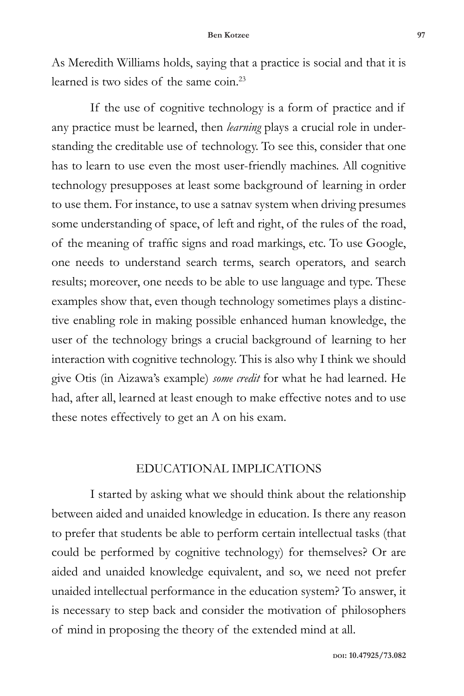As Meredith Williams holds, saying that a practice is social and that it is learned is two sides of the same coin.23

If the use of cognitive technology is a form of practice and if any practice must be learned, then *learning* plays a crucial role in understanding the creditable use of technology. To see this, consider that one has to learn to use even the most user-friendly machines. All cognitive technology presupposes at least some background of learning in order to use them. For instance, to use a satnav system when driving presumes some understanding of space, of left and right, of the rules of the road, of the meaning of traffic signs and road markings, etc. To use Google, one needs to understand search terms, search operators, and search results; moreover, one needs to be able to use language and type. These examples show that, even though technology sometimes plays a distinctive enabling role in making possible enhanced human knowledge, the user of the technology brings a crucial background of learning to her interaction with cognitive technology. This is also why I think we should give Otis (in Aizawa's example) *some credit* for what he had learned. He had, after all, learned at least enough to make effective notes and to use these notes effectively to get an A on his exam.

### EDUCATIONAL IMPLICATIONS

I started by asking what we should think about the relationship between aided and unaided knowledge in education. Is there any reason to prefer that students be able to perform certain intellectual tasks (that could be performed by cognitive technology) for themselves? Or are aided and unaided knowledge equivalent, and so, we need not prefer unaided intellectual performance in the education system? To answer, it is necessary to step back and consider the motivation of philosophers of mind in proposing the theory of the extended mind at all.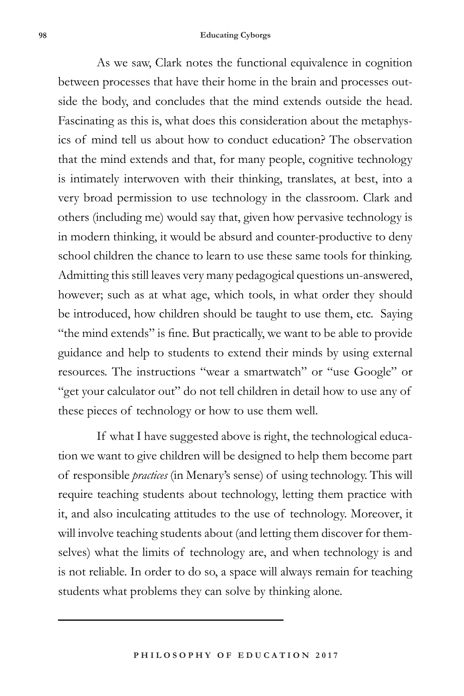#### **98 Educating Cyborgs**

As we saw, Clark notes the functional equivalence in cognition between processes that have their home in the brain and processes outside the body, and concludes that the mind extends outside the head. Fascinating as this is, what does this consideration about the metaphysics of mind tell us about how to conduct education? The observation that the mind extends and that, for many people, cognitive technology is intimately interwoven with their thinking, translates, at best, into a very broad permission to use technology in the classroom. Clark and others (including me) would say that, given how pervasive technology is in modern thinking, it would be absurd and counter-productive to deny school children the chance to learn to use these same tools for thinking. Admitting this still leaves very many pedagogical questions un-answered, however; such as at what age, which tools, in what order they should be introduced, how children should be taught to use them, etc. Saying "the mind extends" is fine. But practically, we want to be able to provide guidance and help to students to extend their minds by using external resources. The instructions "wear a smartwatch" or "use Google" or "get your calculator out" do not tell children in detail how to use any of these pieces of technology or how to use them well.

If what I have suggested above is right, the technological education we want to give children will be designed to help them become part of responsible *practices* (in Menary's sense) of using technology. This will require teaching students about technology, letting them practice with it, and also inculcating attitudes to the use of technology. Moreover, it will involve teaching students about (and letting them discover for themselves) what the limits of technology are, and when technology is and is not reliable. In order to do so, a space will always remain for teaching students what problems they can solve by thinking alone.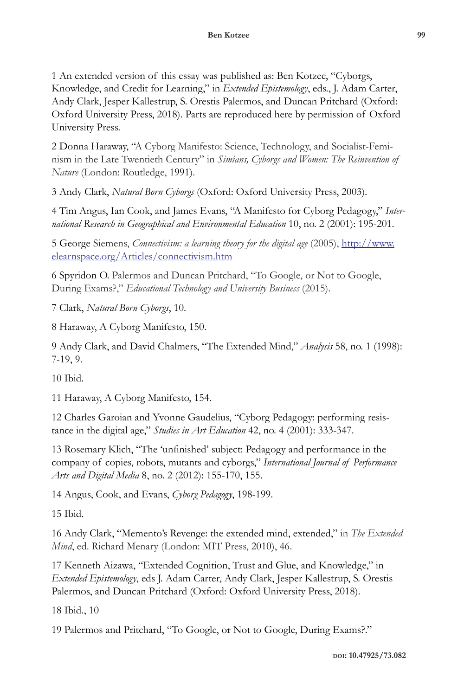1 An extended version of this essay was published as: Ben Kotzee, "Cyborgs, Knowledge, and Credit for Learning," in *Extended Epistemology*, eds., J. Adam Carter, Andy Clark, Jesper Kallestrup, S. Orestis Palermos, and Duncan Pritchard (Oxford: Oxford University Press, 2018). Parts are reproduced here by permission of Oxford University Press.

2 Donna Haraway, "A Cyborg Manifesto: Science, Technology, and Socialist-Feminism in the Late Twentieth Century" in *Simians, Cyborgs and Women: The Reinvention of Nature* (London: Routledge, 1991).

3 Andy Clark, *Natural Born Cyborgs* (Oxford: Oxford University Press, 2003).

4 Tim Angus, Ian Cook, and James Evans, "A Manifesto for Cyborg Pedagogy," *International Research in Geographical and Environmental Education* 10, no. 2 (2001): 195-201.

5 George Siemens, *Connectivism: a learning theory for the digital age* (2005), http://www. elearnspace.org/Articles/connectivism.htm

6 Spyridon O. Palermos and Duncan Pritchard, "To Google, or Not to Google, During Exams?," *Educational Technology and University Business* (2015).

7 Clark, *Natural Born Cyborgs*, 10.

8 Haraway, A Cyborg Manifesto, 150.

9 Andy Clark, and David Chalmers, "The Extended Mind," *Analysis* 58, no. 1 (1998): 7-19, 9.

10 Ibid.

11 Haraway, A Cyborg Manifesto, 154.

12 Charles Garoian and Yvonne Gaudelius, "Cyborg Pedagogy: performing resistance in the digital age," *Studies in Art Education* 42, no. 4 (2001): 333-347.

13 Rosemary Klich, "The 'unfinished' subject: Pedagogy and performance in the company of copies, robots, mutants and cyborgs," *International Journal of Performance Arts and Digital Media* 8, no. 2 (2012): 155-170, 155.

14 Angus, Cook, and Evans, *Cyborg Pedagogy*, 198-199.

15 Ibid.

16 Andy Clark, "Memento's Revenge: the extended mind, extended," in *The Extended Mind*, ed. Richard Menary (London: MIT Press, 2010), 46.

17 Kenneth Aizawa, "Extended Cognition, Trust and Glue, and Knowledge," in *Extended Epistemology*, eds J. Adam Carter, Andy Clark, Jesper Kallestrup, S. Orestis Palermos, and Duncan Pritchard (Oxford: Oxford University Press, 2018).

18 Ibid., 10

19 Palermos and Pritchard, "To Google, or Not to Google, During Exams?."